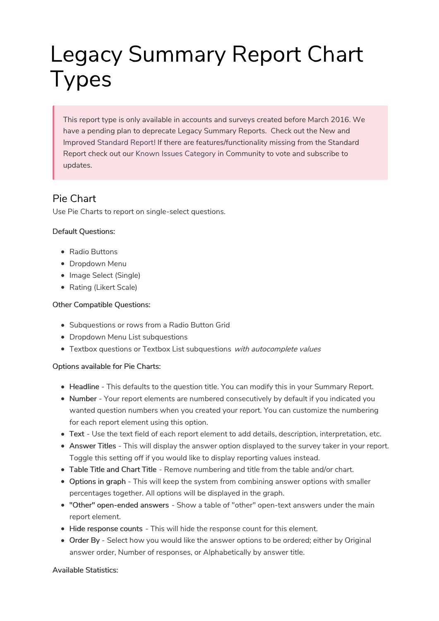# Legacy Summary Report Chart Types

This report type is only available in accounts and surveys created before March 2016. We have a pending plan to deprecate Legacy Summary Reports. Check out the New and Improved Standard Report! If there are features/functionality missing from the Standard Report check out our Known Issues Category in Community to vote and subscribe to updates.

# Pie Chart

Use Pie Charts to report on single-select questions.

# Default Questions:

- Radio Buttons
- Dropdown Menu
- Image Select (Single)
- Rating (Likert Scale)

# Other Compatible Questions:

- Subquestions or rows from a Radio Button Grid
- Dropdown Menu List subquestions
- Textbox questions or Textbox List subquestions with autocomplete values

# Options available for Pie Charts:

- Headline This defaults to the question title. You can modify this in your Summary Report.
- Number Your report elements are numbered consecutively by default if you indicated you wanted question numbers when you created your report. You can customize the numbering for each report element using this option.
- Text Use the text field of each report element to add details, description, interpretation, etc.
- Answer Titles This will display the answer option displayed to the survey taker in your report. Toggle this setting off if you would like to display reporting values instead.
- Table Title and Chart Title Remove numbering and title from the table and/or chart.
- Options in graph This will keep the system from combining answer options with smaller percentages together. All options will be displayed in the graph.
- "Other" open-ended answers Show a table of "other" open-text answers under the main report element.
- Hide response counts This will hide the response count for this element.
- Order By Select how you would like the answer options to be ordered; either by Original answer order, Number of responses, or Alphabetically by answer title.

# Available Statistics: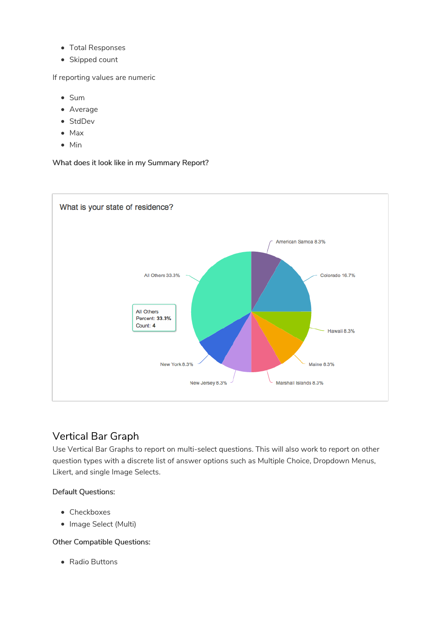- Total Responses
- Skipped count

If reporting values are numeric

- $\bullet$  Sum
- Average
- StdDev
- Max
- $\bullet$  Min

What does it look like in my Summary Report?



# Vertical Bar Graph

Use Vertical Bar Graphs to report on multi-select questions. This will also work to report on other question types with a discrete list of answer options such as Multiple Choice, Dropdown Menus, Likert, and single Image Selects.

#### Default Questions:

- Checkboxes
- Image Select (Multi)

# Other Compatible Questions:

• Radio Buttons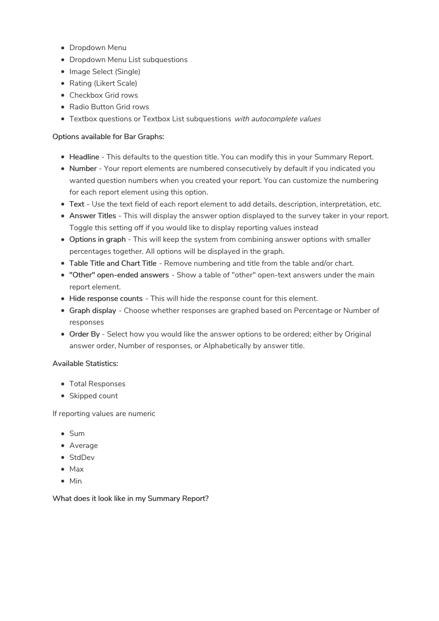- Dropdown Menu
- Dropdown Menu List subquestions
- Image Select (Single)
- Rating (Likert Scale)
- Checkbox Grid rows
- Radio Button Grid rows
- Textbox questions or Textbox List subquestions with autocomplete values

### Options available for Bar Graphs:

- Headline This defaults to the question title. You can modify this in your Summary Report.
- Number Your report elements are numbered consecutively by default if you indicated you wanted question numbers when you created your report. You can customize the numbering for each report element using this option.
- Text Use the text field of each report element to add details, description, interpretation, etc.
- Answer Titles This will display the answer option displayed to the survey taker in your report. Toggle this setting off if you would like to display reporting values instead
- Options in graph This will keep the system from combining answer options with smaller percentages together. All options will be displayed in the graph.
- Table Title and Chart Title Remove numbering and title from the table and/or chart.
- "Other" open-ended answers Show a table of "other" open-text answers under the main report element.
- Hide response counts This will hide the response count for this element.
- Graph display Choose whether responses are graphed based on Percentage or Number of responses
- Order By Select how you would like the answer options to be ordered; either by Original answer order, Number of responses, or Alphabetically by answer title.

#### Available Statistics:

- Total Responses
- Skipped count

If reporting values are numeric

- $\bullet$  Sum
- Average
- StdDev
- Max
- $\bullet$  Min

What does it look like in my Summary Report?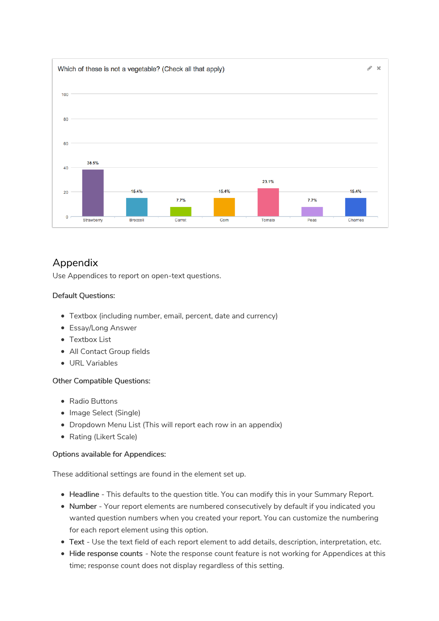

# Appendix

Use Appendices to report on open-text questions.

# Default Questions:

- Textbox (including number, email, percent, date and currency)
- Essay/Long Answer
- Textbox List
- All Contact Group fields
- URL Variables

# Other Compatible Questions:

- Radio Buttons
- Image Select (Single)
- Dropdown Menu List (This will report each row in an appendix)
- Rating (Likert Scale)

#### Options available for Appendices:

These additional settings are found in the element set up.

- Headline This defaults to the question title. You can modify this in your Summary Report.
- Number Your report elements are numbered consecutively by default if you indicated you wanted question numbers when you created your report. You can customize the numbering for each report element using this option.
- Text Use the text field of each report element to add details, description, interpretation, etc.
- Hide response counts Note the response count feature is not working for Appendices at this time; response count does not display regardless of this setting.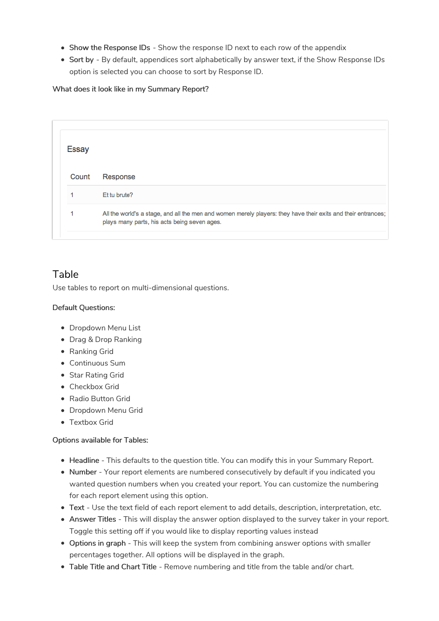- Show the Response IDs Show the response ID next to each row of the appendix
- Sort by By default, appendices sort alphabetically by answer text, if the Show Response IDs option is selected you can choose to sort by Response ID.

#### What does it look like in my Summary Report?

| Essay |                                                                                                                                                               |
|-------|---------------------------------------------------------------------------------------------------------------------------------------------------------------|
| Count | Response                                                                                                                                                      |
|       | Et tu brute?                                                                                                                                                  |
|       | All the world's a stage, and all the men and women merely players: they have their exits and their entrances;<br>plays many parts, his acts being seven ages. |

# Table

Use tables to report on multi-dimensional questions.

# Default Questions:

- Dropdown Menu List
- Drag & Drop Ranking
- Ranking Grid
- Continuous Sum
- Star Rating Grid
- Checkbox Grid
- Radio Button Grid
- Dropdown Menu Grid
- Textbox Grid

#### Options available for Tables:

- Headline This defaults to the question title. You can modify this in your Summary Report.
- Number Your report elements are numbered consecutively by default if you indicated you wanted question numbers when you created your report. You can customize the numbering for each report element using this option.
- Text Use the text field of each report element to add details, description, interpretation, etc.
- Answer Titles This will display the answer option displayed to the survey taker in your report. Toggle this setting off if you would like to display reporting values instead
- Options in graph This will keep the system from combining answer options with smaller percentages together. All options will be displayed in the graph.
- Table Title and Chart Title Remove numbering and title from the table and/or chart.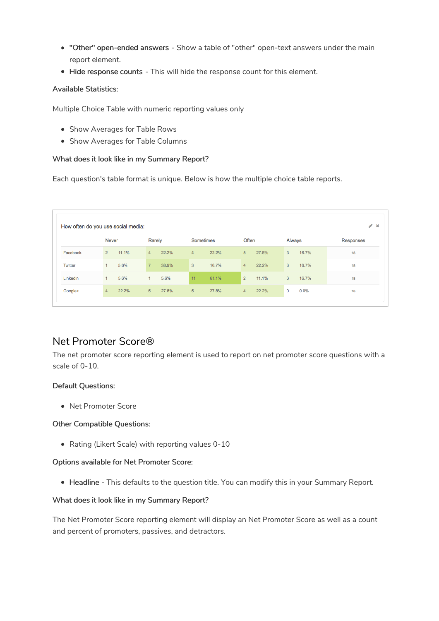- "Other" open-ended answers Show a table of "other" open-text answers under the main report element.
- Hide response counts This will hide the response count for this element.

#### Available Statistics:

Multiple Choice Table with numeric reporting values only

- Show Averages for Table Rows
- Show Averages for Table Columns

#### What does it look like in my Summary Report?

Each question's table format is unique. Below is how the multiple choice table reports.

|                |       |                |                                    |                |       |                |       |              |       | $\mathscr{P}$ $\mathsf{x}$ |
|----------------|-------|----------------|------------------------------------|----------------|-------|----------------|-------|--------------|-------|----------------------------|
|                |       |                |                                    |                |       |                |       |              |       | <b>Responses</b>           |
| $\overline{2}$ | 11.1% | 4              | 22.2%                              | $\overline{4}$ | 22.2% | 5 <sup>5</sup> | 27.8% | $\mathbf{3}$ | 16.7% | 18                         |
| $\mathbf{1}$   | 5.6%  | $\overline{7}$ | 38.9%                              | $\mathbf{3}$   | 16.7% | 4              | 22.2% | $\mathbf{3}$ | 16.7% | 18                         |
| 1              | 5.6%  | 1              | 5.6%                               | 11             | 61.1% | $\overline{2}$ | 11.1% | $\mathbf{3}$ | 16.7% | 18                         |
| $\overline{4}$ | 22.2% | 5 <sup>5</sup> | 27.8%                              | 5 <sup>5</sup> | 27.8% | 4              | 22.2% | 0            | 0.0%  | 18                         |
|                |       | <b>Never</b>   | How often do you use social media: | Rarely         |       | Sometimes      |       | Often        |       | Always                     |

# Net Promoter Score®

The net promoter score reporting element is used to report on net promoter score questions with a scale of 0-10.

# Default Questions:

Net Promoter Score

# Other Compatible Questions:

• Rating (Likert Scale) with reporting values 0-10

#### Options available for Net Promoter Score:

• Headline - This defaults to the question title. You can modify this in your Summary Report.

#### What does it look like in my Summary Report?

The Net Promoter Score reporting element will display an Net Promoter Score as well as a count and percent of promoters, passives, and detractors.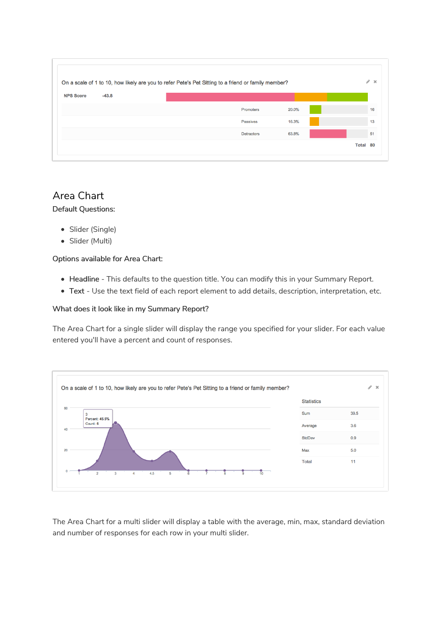|                  |         | On a scale of 1 to 10, how likely are you to refer Pete's Pet Sitting to a friend or family member? |       | P. | $\infty$ |
|------------------|---------|-----------------------------------------------------------------------------------------------------|-------|----|----------|
| <b>NPS Score</b> | $-43.8$ |                                                                                                     |       |    |          |
|                  |         | Promoters                                                                                           | 20.0% |    | 16       |
|                  |         | Passives                                                                                            | 16.3% |    | 13       |
|                  |         | <b>Detractors</b>                                                                                   | 63.8% |    | 51       |

# Area Chart Default Questions:

- Slider (Single)
- Slider (Multi)

# Options available for Area Chart:

- Headline This defaults to the question title. You can modify this in your Summary Report.
- Text Use the text field of each report element to add details, description, interpretation, etc.

#### What does it look like in my Summary Report?

The Area Chart for a single slider will display the range you specified for your slider. For each value entered you'll have a percent and count of responses.



The Area Chart for a multi slider will display a table with the average, min, max, standard deviation and number of responses for each row in your multi slider.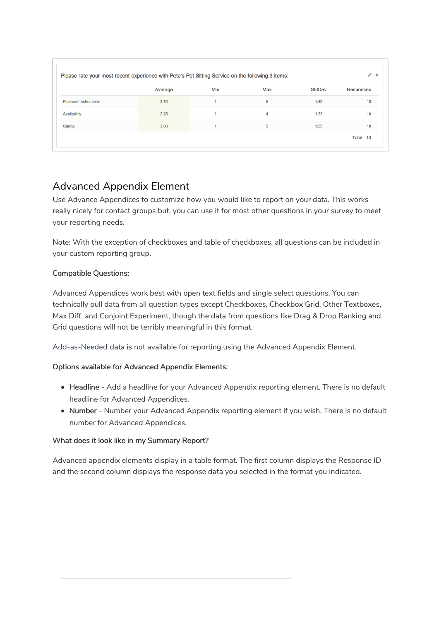|                              | Average | Min | Max | StdDev | <b>Responses</b> |
|------------------------------|---------|-----|-----|--------|------------------|
| <b>Followed Instructions</b> | 3.70    |     | 5   | 1.42   | 10               |
| Availability                 | 2.25    |     | 4   | 1.33   | 10               |
| Caring                       | 3.00    |     | 5   | 1.55   | 10               |

# Advanced Appendix Element

Use Advance Appendices to customize how you would like to report on your data. This works really nicely for contact groups but, you can use it for most other questions in your survey to meet your reporting needs.

Note: With the exception of checkboxes and table of checkboxes, all questions can be included in your custom reporting group.

# Compatible Questions:

Advanced Appendices work best with open text fields and single select questions. You can technically pull data from all question types except Checkboxes, Checkbox Grid, Other Textboxes, Max Diff, and Conjoint Experiment, though the data from questions like Drag & Drop Ranking and Grid questions will not be terribly meaningful in this format.

Add-as-Needed data is not available for reporting using the Advanced Appendix Element.

# Options available for Advanced Appendix Elements:

- Headline Add a headline for your Advanced Appendix reporting element. There is no default headline for Advanced Appendices.
- Number Number your Advanced Appendix reporting element if you wish. There is no default number for Advanced Appendices.

# What does it look like in my Summary Report?

Advanced appendix elements display in a table format. The first column displays the Response ID and the second column displays the response data you selected in the format you indicated.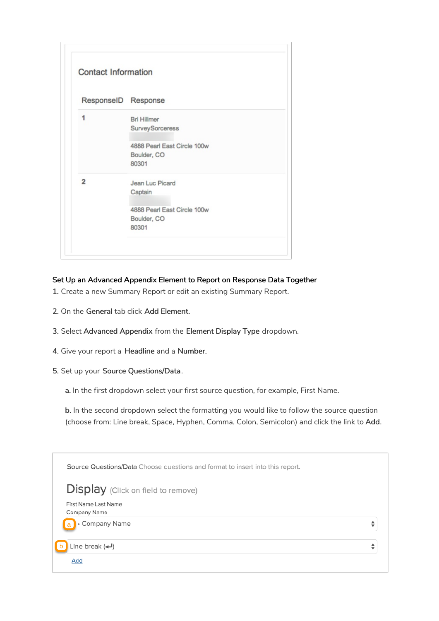| ResponseID Response |                             |
|---------------------|-----------------------------|
| 1                   | <b>Bri Hillmer</b>          |
|                     | <b>SurveySorceress</b>      |
|                     | 4888 Pearl East Circle 100w |
|                     | Boulder, CO<br>80301        |
|                     |                             |
| 2                   | Jean Luc Picard             |
|                     | Captain                     |
|                     | 4888 Pearl East Circle 100w |
|                     | Boulder, CO                 |
|                     | 80301                       |

# Set Up an Advanced Appendix Element to Report on Response Data Together

- 1. Create a new Summary Report or edit an existing Summary Report.
- 2. On the General tab click Add Element.
- 3. Select Advanced Appendix from the Element Display Type dropdown.
- 4. Give your report a Headline and a Number.
- 5. Set up your Source Questions/Data.

a. In the first dropdown select your first source question, for example, First Name.

b. In the second dropdown select the formatting you would like to follow the source question (choose from: Line break, Space, Hyphen, Comma, Colon, Semicolon) and click the link to Add.

| Source Questions/Data Choose questions and format to insert into this report. |                               |
|-------------------------------------------------------------------------------|-------------------------------|
| <b>Display</b> (Click on field to remove)                                     |                               |
| First Name Last Name<br>Company Name                                          |                               |
| Company Name<br>a l                                                           |                               |
| Line break $(\Leftrightarrow)$                                                | ▲<br>$\overline{\phantom{a}}$ |
| Add                                                                           |                               |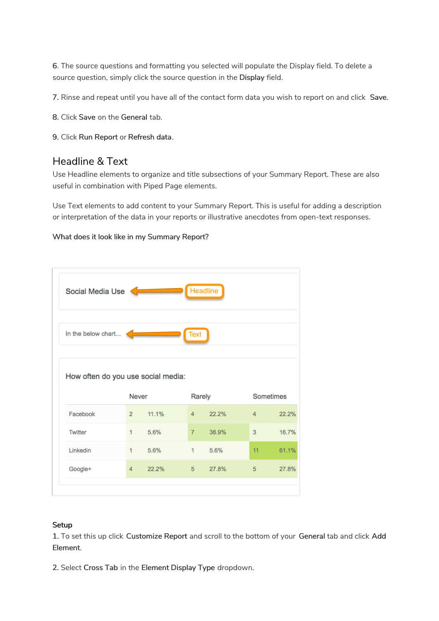6. The source questions and formatting you selected will populate the Display field. To delete a source question, simply click the source question in the Display field.

7. Rinse and repeat until you have all of the contact form data you wish to report on and click Save.

8. Click Save on the General tab.

9. Click Run Report or Refresh data.

# Headline & Text

Use Headline elements to organize and title subsections of your Summary Report. These are also useful in combination with Piped Page elements.

Use Text elements to add content to your Summary Report. This is useful for adding a description or interpretation of the data in your reports or illustrative anecdotes from open-text responses.

#### What does it look like in my Summary Report?



#### Setup

1. To set this up click Customize Report and scroll to the bottom of your General tab and click Add Element.

2. Select Cross Tab in the Element Display Type dropdown.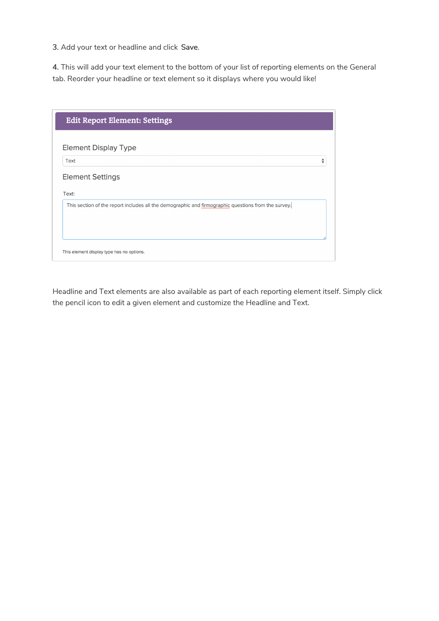3. Add your text or headline and click Save.

4. This will add your text element to the bottom of your list of reporting elements on the General tab. Reorder your headline or text element so it displays where you would like!

| <b>Edit Report Element: Settings</b>                                                                |        |
|-----------------------------------------------------------------------------------------------------|--------|
| <b>Element Display Type</b>                                                                         |        |
| Text                                                                                                | ▴<br>▼ |
| <b>Element Settings</b><br>Text:                                                                    |        |
| This section of the report includes all the demographic and firmographic questions from the survey. |        |
| This element display type has no options.                                                           |        |

Headline and Text elements are also available as part of each reporting element itself. Simply click the pencil icon to edit a given element and customize the Headline and Text.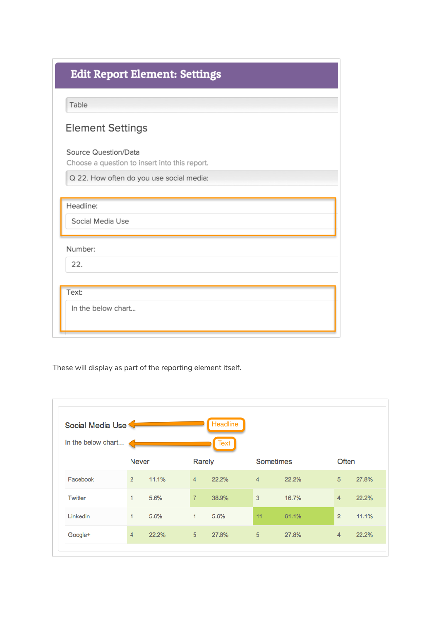| <b>Edit Report Element: Settings</b>                                  |
|-----------------------------------------------------------------------|
| Table                                                                 |
| <b>Element Settings</b>                                               |
| Source Question/Data<br>Choose a question to insert into this report. |
| Q 22. How often do you use social media:                              |
| Headline:                                                             |
| Social Media Use                                                      |
| Number:                                                               |
| 22.                                                                   |
| Text:                                                                 |
| In the below chart                                                    |

These will display as part of the reporting element itself.

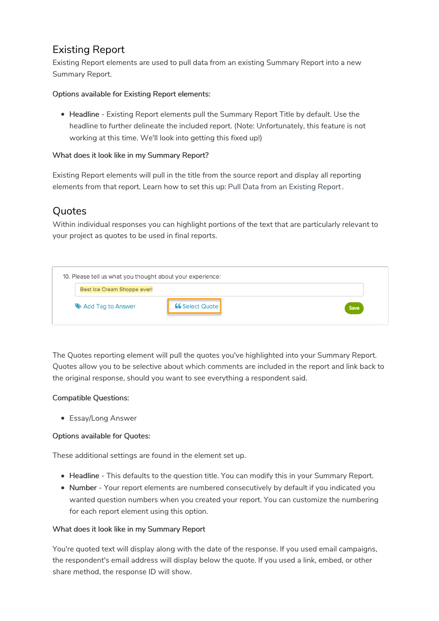# Existing Report

Existing Report elements are used to pull data from an existing Summary Report into a new Summary Report.

# Options available for Existing Report elements:

• Headline - Existing Report elements pull the Summary Report Title by default. Use the headline to further delineate the included report. (Note: Unfortunately, this feature is not working at this time. We'll look into getting this fixed up!)

# What does it look like in my Summary Report?

Existing Report elements will pull in the title from the source report and display all reporting elements from that report. Learn how to set this up: Pull Data from an Existing Report.

# **Ouotes**

Within individual responses you can highlight portions of the text that are particularly relevant to your project as quotes to be used in final reports.

| 10. Please tell us what you thought about your experience: |                        |      |
|------------------------------------------------------------|------------------------|------|
| Best Ice Cream Shoppe ever!                                |                        |      |
| Add Tag to Answer                                          | <b>66 Select Quote</b> | Save |
|                                                            |                        |      |

The Quotes reporting element will pull the quotes you've highlighted into your Summary Report. Quotes allow you to be selective about which comments are included in the report and link back to the original response, should you want to see everything a respondent said.

# Compatible Questions:

Essay/Long Answer

# Options available for Quotes:

These additional settings are found in the element set up.

- Headline This defaults to the question title. You can modify this in your Summary Report.
- Number Your report elements are numbered consecutively by default if you indicated you wanted question numbers when you created your report. You can customize the numbering for each report element using this option.

# What does it look like in my Summary Report

You're quoted text will display along with the date of the response. If you used email campaigns, the respondent's email address will display below the quote. If you used a link, embed, or other share method, the response ID will show.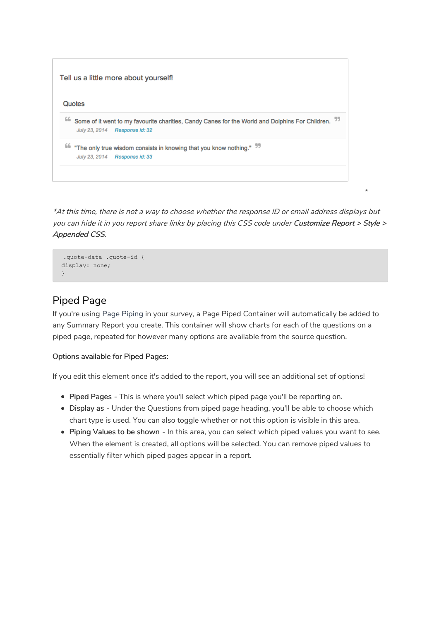

\*At this time, there is not <sup>a</sup> way to choose whether the response ID or email address displays but you can hide it in you report share links by placing this CSS code under Customize Report <sup>&</sup>gt; Style <sup>&</sup>gt; Appended CSS.

```
.quote-data .quote-id {
display: none;
}
```
# Piped Page

If you're using Page Piping in your survey, a Page Piped Container will automatically be added to any Summary Report you create. This container will show charts for each of the questions on a piped page, repeated for however many options are available from the source question.

# Options available for Piped Pages:

If you edit this element once it's added to the report, you will see an additional set of options!

- Piped Pages This is where you'll select which piped page you'll be reporting on.
- Display as Under the Questions from piped page heading, you'll be able to choose which chart type is used. You can also toggle whether or not this option is visible in this area.
- Piping Values to be shown In this area, you can select which piped values you want to see. When the element is created, all options will be selected. You can remove piped values to essentially filter which piped pages appear in a report.